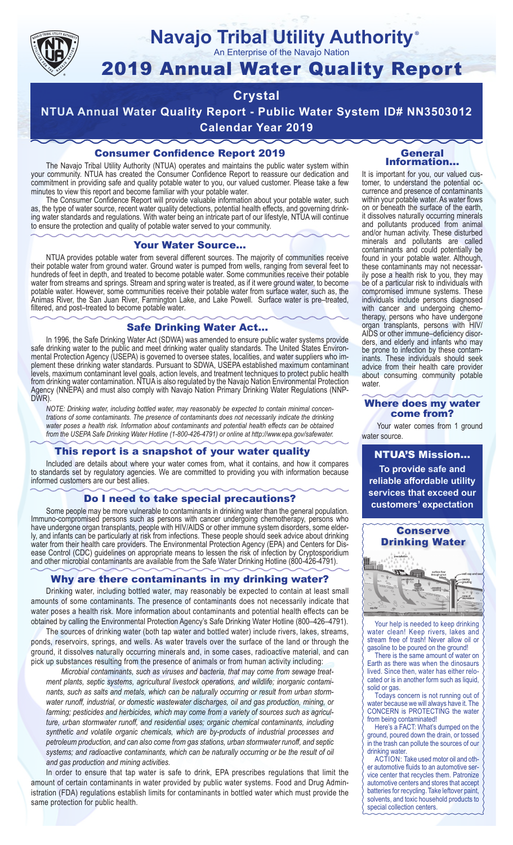

## **Navajo Tribal Utility Authority** ®

An Enterprise of the Navajo Nation

# 2019 Annual Water Quality Report

## **Crystal**

**NTUA Annual Water Quality Report - Public Water System ID# NN3503012 Calendar Year 2019**

## Consumer Confidence Report 2019

The Navajo Tribal Utility Authority (NTUA) operates and maintains the public water system within your community. NTUA has created the Consumer Confidence Report to reassure our dedication and commitment in providing safe and quality potable water to you, our valued customer. Please take a few minutes to view this report and become familiar with your potable water.

The Consumer Confidence Report will provide valuable information about your potable water, such as, the type of water source, recent water quality detections, potential health effects, and governing drinking water standards and regulations. With water being an intricate part of our lifestyle, NTUA will continue to ensure the protection and quality of potable water served to your community.

#### Your Water Source…

NTUA provides potable water from several different sources. The majority of communities receive their potable water from ground water. Ground water is pumped from wells, ranging from several feet to hundreds of feet in depth, and treated to become potable water. Some communities receive their potable water from streams and springs. Stream and spring water is treated, as if it were ground water, to become potable water. However, some communities receive their potable water from surface water, such as, the Animas River, the San Juan River, Farmington Lake, and Lake Powell. Surface water is pre–treated, filtered, and post–treated to become potable water.

#### Safe Drinking Water Act…

In 1996, the Safe Drinking Water Act (SDWA) was amended to ensure public water systems provide safe drinking water to the public and meet drinking water quality standards. The United States Environmental Protection Agency (USEPA) is governed to oversee states, localities, and water suppliers who implement these drinking water standards. Pursuant to SDWA, USEPA established maximum contaminant levels, maximum contaminant level goals, action levels, and treatment techniques to protect public health from drinking water contamination. NTUA is also regulated by the Navajo Nation Environmental Protection Agency (NNEPA) and must also comply with Navajo Nation Primary Drinking Water Regulations (NNP-DWR)

*NOTE: Drinking water, including bottled water, may reasonably be expected to contain minimal concentrations of some contaminants. The presence of contaminants does not necessarily indicate the drinking water poses a health risk. Information about contaminants and potential health effects can be obtained from the USEPA Safe Drinking Water Hotline (1-800-426-4791) or online at http://www.epa.gov/safewater.*

## This report is a snapshot of your water quality

Included are details about where your water comes from, what it contains, and how it compares to standards set by regulatory agencies. We are committed to providing you with information because informed customers are our best allies.

#### Do I need to take special precautions?

Some people may be more vulnerable to contaminants in drinking water than the general population. Immuno-compromised persons such as persons with cancer undergoing chemotherapy, persons who have undergone organ transplants, people with HIV/AIDS or other immune system disorders, some elderly, and infants can be particularly at risk from infections. These people should seek advice about drinking water from their health care providers. The Environmental Protection Agency (EPA) and Centers for Disease Control (CDC) guidelines on appropriate means to lessen the risk of infection by Cryptosporidium and other microbial contaminants are available from the Safe Water Drinking Hotline (800-426-4791).

## Why are there contaminants in my drinking water?

Drinking water, including bottled water, may reasonably be expected to contain at least small amounts of some contaminants. The presence of contaminants does not necessarily indicate that water poses a health risk. More information about contaminants and potential health effects can be obtained by calling the Environmental Protection Agency's Safe Drinking Water Hotline (800–426–4791).

The sources of drinking water (both tap water and bottled water) include rivers, lakes, streams, ponds, reservoirs, springs, and wells. As water travels over the surface of the land or through the ground, it dissolves naturally occurring minerals and, in some cases, radioactive material, and can pick up substances resulting from the presence of animals or from human activity including:

*Microbial contaminants, such as viruses and bacteria, that may come from sewage treatment plants, septic systems, agricultural livestock operations, and wildlife; inorganic contaminants, such as salts and metals, which can be naturally occurring or result from urban stormwater runoff, industrial, or domestic wastewater discharges, oil and gas production, mining, or farming; pesticides and herbicides, which may come from a variety of sources such as agriculture, urban stormwater runoff, and residential uses; organic chemical contaminants, including synthetic and volatile organic chemicals, which are by-products of industrial processes and petroleum production, and can also come from gas stations, urban stormwater runoff, and septic systems; and radioactive contaminants, which can be naturally occurring or be the result of oil and gas production and mining activities.*

In order to ensure that tap water is safe to drink, EPA prescribes regulations that limit the amount of certain contaminants in water provided by public water systems. Food and Drug Administration (FDA) regulations establish limits for contaminants in bottled water which must provide the same protection for public health.

#### General Information…

It is important for you, our valued customer, to understand the potential occurrence and presence of contaminants within your potable water. As water flows on or beneath the surface of the earth, it dissolves naturally occurring minerals and pollutants produced from animal and/or human activity. These disturbed minerals and pollutants are called contaminants and could potentially be found in your potable water. Although, these contaminants may not necessarily pose a health risk to you, they may be of a particular risk to individuals with compromised immune systems. These individuals include persons diagnosed with cancer and undergoing chemo-<br>therapy, persons who have undergone organ transplants, persons with HIV/ AIDS or other immune–deficiency disor- ders, and elderly and infants who may be prone to infection by these contam- inants. These individuals should seek advice from their health care provider about consuming community potable water.

#### Where does my water come from?

Your water comes from 1 ground water source.

NTUA'S Mission... **To provide safe and reliable affordable utility services that exceed our customers' expectation**



Your help is needed to keep drinking water clean! Keep rivers, lakes and stream free of trash! Never allow oil or gasoline to be poured on the ground!

There is the same amount of water on Earth as there was when the dinosaurs lived. Since then, water has either relocated or is in another form such as liquid, solid or gas.

Todays concern is not running out of water because we will always have it. The CONCERN is PROTECTING the water from being contaminated!

Here's a FACT: What's dumped on the ground, poured down the drain, or tossed in the trash can pollute the sources of our drinking water.

ACTION: Take used motor oil and other automotive fluids to an automotive service center that recycles them. Patronize automotive centers and stores that accept batteries for recycling. Take leftover paint, solvents, and toxic household products to special collection centers.